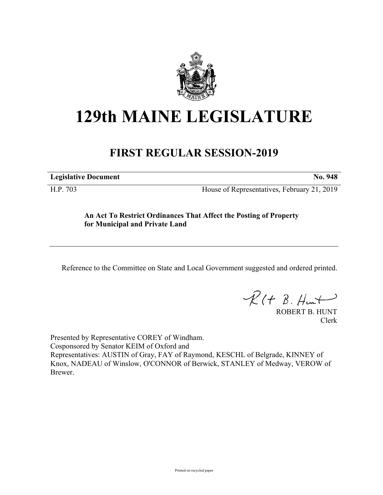

## **129th MAINE LEGISLATURE**

## **FIRST REGULAR SESSION-2019**

**Legislative Document No. 948**

H.P. 703 House of Representatives, February 21, 2019

## **An Act To Restrict Ordinances That Affect the Posting of Property for Municipal and Private Land**

Reference to the Committee on State and Local Government suggested and ordered printed.

 $R(t B. Hmt)$ 

ROBERT B. HUNT Clerk

Presented by Representative COREY of Windham. Cosponsored by Senator KEIM of Oxford and Representatives: AUSTIN of Gray, FAY of Raymond, KESCHL of Belgrade, KINNEY of Knox, NADEAU of Winslow, O'CONNOR of Berwick, STANLEY of Medway, VEROW of Brewer.